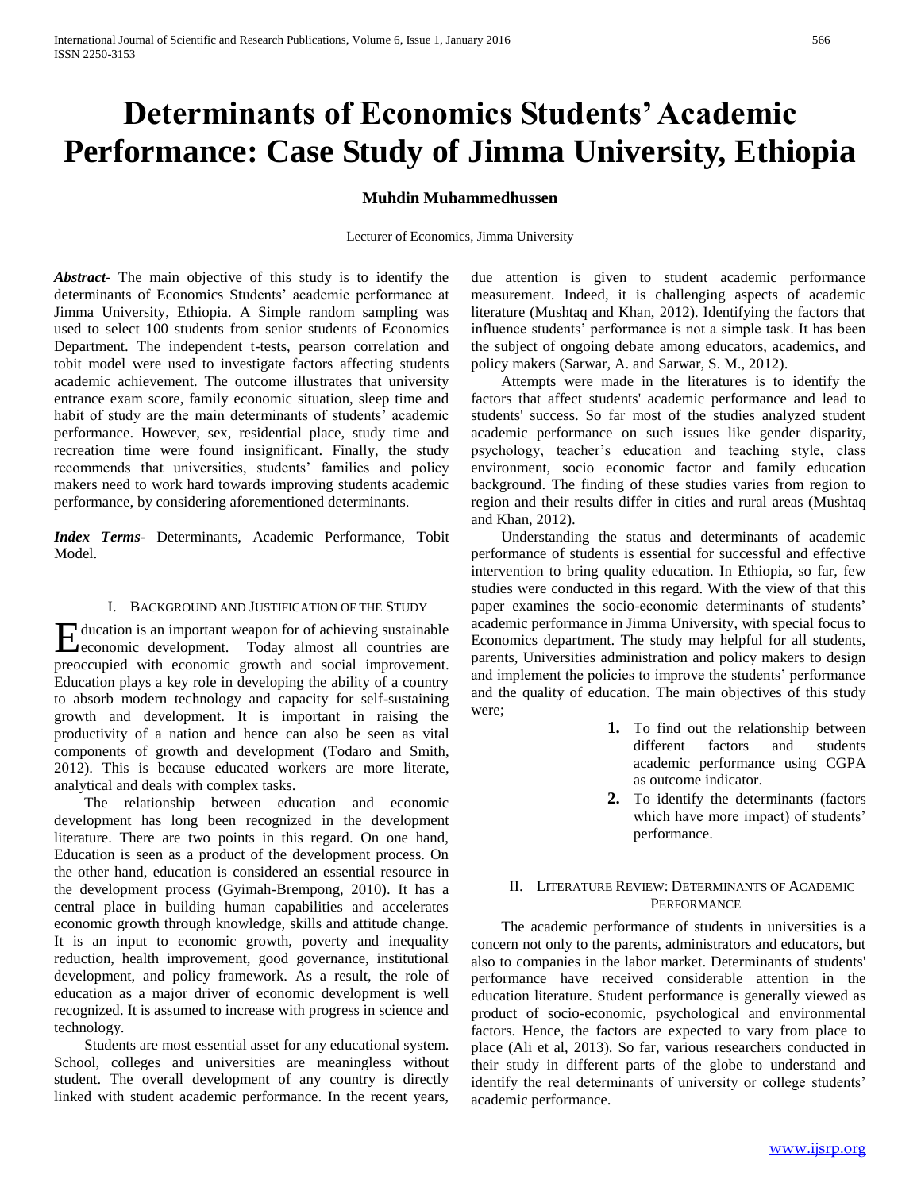# **Determinants of Economics Students' Academic Performance: Case Study of Jimma University, Ethiopia**

# **Muhdin Muhammedhussen**

Lecturer of Economics, Jimma University

*Abstract***-** The main objective of this study is to identify the determinants of Economics Students' academic performance at Jimma University, Ethiopia. A Simple random sampling was used to select 100 students from senior students of Economics Department. The independent t-tests, pearson correlation and tobit model were used to investigate factors affecting students academic achievement. The outcome illustrates that university entrance exam score, family economic situation, sleep time and habit of study are the main determinants of students' academic performance. However, sex, residential place, study time and recreation time were found insignificant. Finally, the study recommends that universities, students' families and policy makers need to work hard towards improving students academic performance, by considering aforementioned determinants.

*Index Terms*- Determinants, Academic Performance, Tobit Model.

# I. BACKGROUND AND JUSTIFICATION OF THE STUDY

ducation is an important weapon for of achieving sustainable Education is an important weapon for of achieving sustainable<br>
economic development. Today almost all countries are preoccupied with economic growth and social improvement. Education plays a key role in developing the ability of a country to absorb modern technology and capacity for self-sustaining growth and development. It is important in raising the productivity of a nation and hence can also be seen as vital components of growth and development (Todaro and Smith, 2012). This is because educated workers are more literate, analytical and deals with complex tasks.

 The relationship between education and economic development has long been recognized in the development literature. There are two points in this regard. On one hand, Education is seen as a product of the development process. On the other hand, education is considered an essential resource in the development process (Gyimah-Brempong, 2010). It has a central place in building human capabilities and accelerates economic growth through knowledge, skills and attitude change. It is an input to economic growth, poverty and inequality reduction, health improvement, good governance, institutional development, and policy framework. As a result, the role of education as a major driver of economic development is well recognized. It is assumed to increase with progress in science and technology.

 Students are most essential asset for any educational system. School, colleges and universities are meaningless without student. The overall development of any country is directly linked with student academic performance. In the recent years,

due attention is given to student academic performance measurement. Indeed, it is challenging aspects of academic literature (Mushtaq and Khan, 2012). Identifying the factors that influence students' performance is not a simple task. It has been the subject of ongoing debate among educators, academics, and policy makers (Sarwar, A. and Sarwar, S. M., 2012).

 Attempts were made in the literatures is to identify the factors that affect students' academic performance and lead to students' success. So far most of the studies analyzed student academic performance on such issues like gender disparity, psychology, teacher's education and teaching style, class environment, socio economic factor and family education background. The finding of these studies varies from region to region and their results differ in cities and rural areas (Mushtaq and Khan, 2012).

 Understanding the status and determinants of academic performance of students is essential for successful and effective intervention to bring quality education. In Ethiopia, so far, few studies were conducted in this regard. With the view of that this paper examines the socio-economic determinants of students' academic performance in Jimma University, with special focus to Economics department. The study may helpful for all students, parents, Universities administration and policy makers to design and implement the policies to improve the students' performance and the quality of education. The main objectives of this study were;

- **1.** To find out the relationship between different factors and students academic performance using CGPA as outcome indicator.
- **2.** To identify the determinants (factors which have more impact) of students' performance.

# II. LITERATURE REVIEW: DETERMINANTS OF ACADEMIC PERFORMANCE

 The academic performance of students in universities is a concern not only to the parents, administrators and educators, but also to companies in the labor market. Determinants of students' performance have received considerable attention in the education literature. Student performance is generally viewed as product of socio-economic, psychological and environmental factors. Hence, the factors are expected to vary from place to place (Ali et al, 2013). So far, various researchers conducted in their study in different parts of the globe to understand and identify the real determinants of university or college students' academic performance.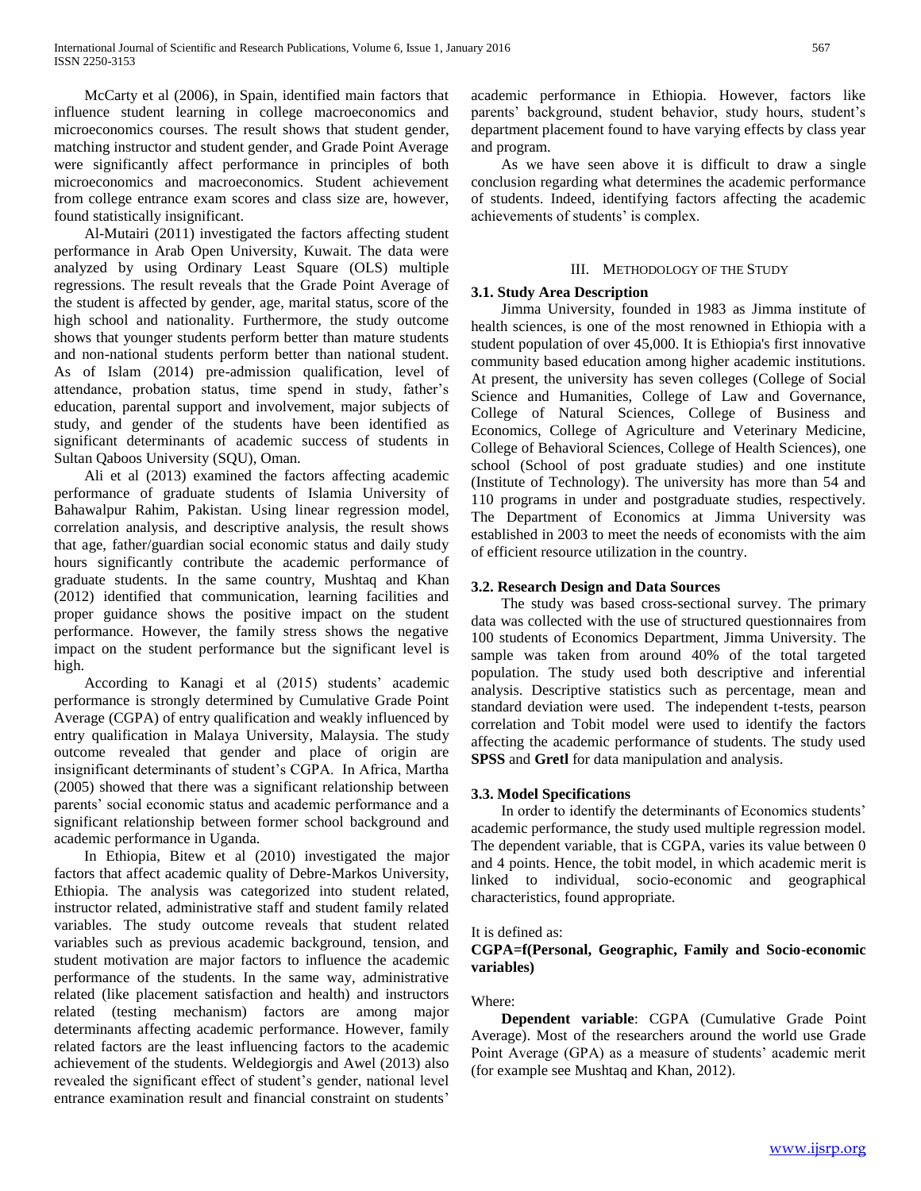McCarty et al (2006), in Spain, identified main factors that influence student learning in college macroeconomics and microeconomics courses. The result shows that student gender, matching instructor and student gender, and Grade Point Average were significantly affect performance in principles of both microeconomics and macroeconomics. Student achievement from college entrance exam scores and class size are, however, found statistically insignificant.

 Al-Mutairi (2011) investigated the factors affecting student performance in Arab Open University, Kuwait. The data were analyzed by using Ordinary Least Square (OLS) multiple regressions. The result reveals that the Grade Point Average of the student is affected by gender, age, marital status, score of the high school and nationality. Furthermore, the study outcome shows that younger students perform better than mature students and non-national students perform better than national student. As of Islam (2014) pre-admission qualification, level of attendance, probation status, time spend in study, father's education, parental support and involvement, major subjects of study, and gender of the students have been identified as significant determinants of academic success of students in Sultan Qaboos University (SQU), Oman.

 Ali et al (2013) examined the factors affecting academic performance of graduate students of Islamia University of Bahawalpur Rahim, Pakistan. Using linear regression model, correlation analysis, and descriptive analysis, the result shows that age, father/guardian social economic status and daily study hours significantly contribute the academic performance of graduate students. In the same country, Mushtaq and Khan (2012) identified that communication, learning facilities and proper guidance shows the positive impact on the student performance. However, the family stress shows the negative impact on the student performance but the significant level is high.

 According to Kanagi et al (2015) students' academic performance is strongly determined by Cumulative Grade Point Average (CGPA) of entry qualification and weakly influenced by entry qualification in Malaya University, Malaysia. The study outcome revealed that gender and place of origin are insignificant determinants of student's CGPA. In Africa, Martha (2005) showed that there was a significant relationship between parents' social economic status and academic performance and a significant relationship between former school background and academic performance in Uganda.

 In Ethiopia, Bitew et al (2010) investigated the major factors that affect academic quality of Debre-Markos University, Ethiopia. The analysis was categorized into student related, instructor related, administrative staff and student family related variables. The study outcome reveals that student related variables such as previous academic background, tension, and student motivation are major factors to influence the academic performance of the students. In the same way, administrative related (like placement satisfaction and health) and instructors related (testing mechanism) factors are among major determinants affecting academic performance. However, family related factors are the least influencing factors to the academic achievement of the students. Weldegiorgis and Awel (2013) also revealed the significant effect of student's gender, national level entrance examination result and financial constraint on students'

academic performance in Ethiopia. However, factors like parents' background, student behavior, study hours, student's department placement found to have varying effects by class year and program.

 As we have seen above it is difficult to draw a single conclusion regarding what determines the academic performance of students. Indeed, identifying factors affecting the academic achievements of students' is complex.

# III. METHODOLOGY OF THE STUDY

## **3.1. Study Area Description**

 Jimma University, founded in 1983 as Jimma institute of health sciences, is one of the most renowned in Ethiopia with a student population of over 45,000. It is Ethiopia's first innovative community based education among higher academic institutions. At present, the university has seven colleges (College of Social Science and Humanities, College of Law and Governance, College of Natural Sciences, College of Business and Economics, College of Agriculture and Veterinary Medicine, College of Behavioral Sciences, College of Health Sciences), one school (School of post graduate studies) and one institute (Institute of Technology). The university has more than 54 and 110 programs in under and postgraduate studies, respectively. The Department of Economics at Jimma University was established in 2003 to meet the needs of economists with the aim of efficient resource utilization in the country.

## **3.2. Research Design and Data Sources**

 The study was based cross-sectional survey. The primary data was collected with the use of structured questionnaires from 100 students of Economics Department, Jimma University. The sample was taken from around 40% of the total targeted population. The study used both descriptive and inferential analysis. Descriptive statistics such as percentage, mean and standard deviation were used. The independent t-tests, pearson correlation and Tobit model were used to identify the factors affecting the academic performance of students. The study used **SPSS** and **Gretl** for data manipulation and analysis.

# **3.3. Model Specifications**

 In order to identify the determinants of Economics students' academic performance, the study used multiple regression model. The dependent variable, that is CGPA, varies its value between 0 and 4 points. Hence, the tobit model, in which academic merit is linked to individual, socio-economic and geographical characteristics, found appropriate.

## It is defined as:

# **CGPA=f(Personal, Geographic, Family and Socio-economic variables)**

## Where:

 **Dependent variable**: CGPA (Cumulative Grade Point Average). Most of the researchers around the world use Grade Point Average (GPA) as a measure of students' academic merit (for example see Mushtaq and Khan, 2012).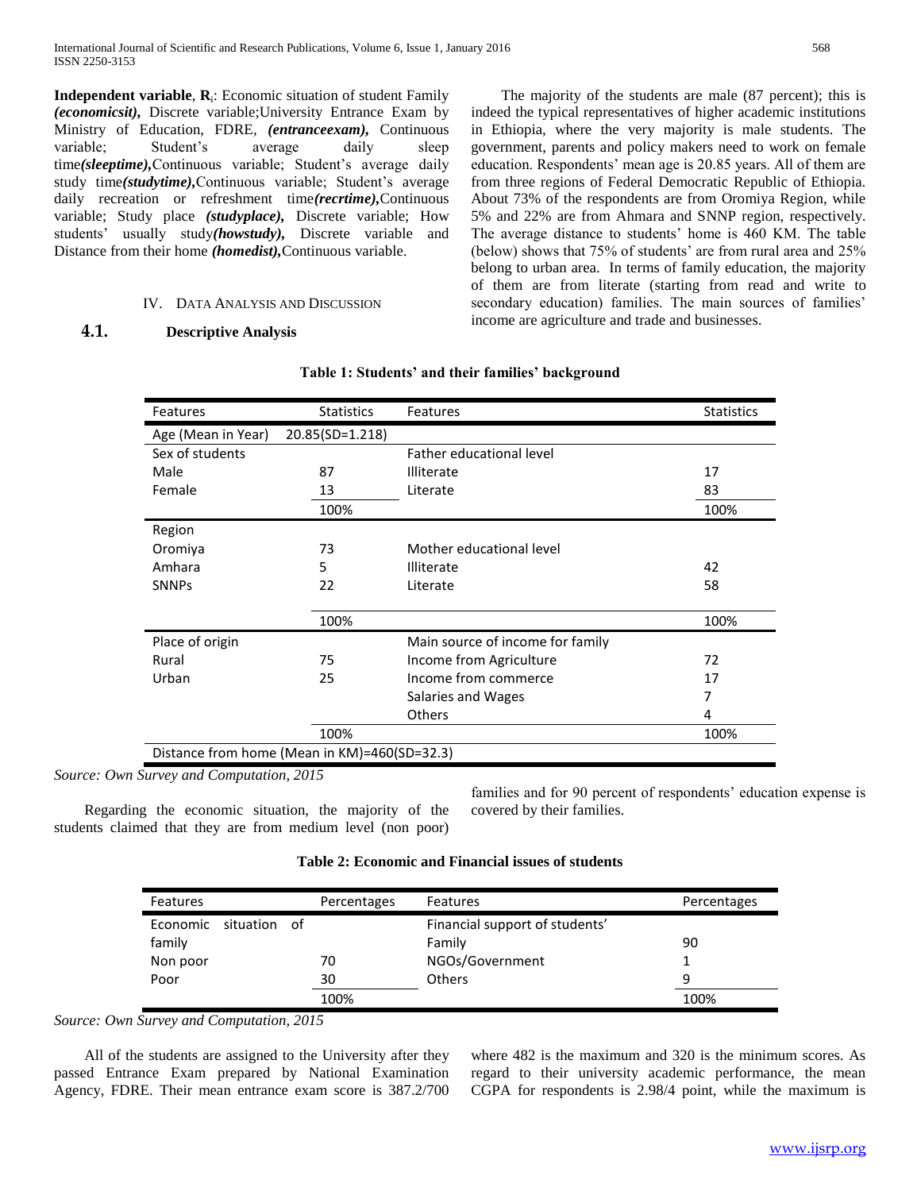**Independent variable**, **R**<sup>i</sup> : Economic situation of student Family *(economicsit),* Discrete variable;University Entrance Exam by Ministry of Education, FDRE*, (entranceexam),* Continuous variable; Student's average daily sleep time*(sleeptime),*Continuous variable; Student's average daily study time*(studytime),*Continuous variable; Student's average daily recreation or refreshment time*(recrtime),*Continuous variable; Study place *(studyplace),* Discrete variable; How students' usually study*(howstudy),* Discrete variable and Distance from their home *(homedist),*Continuous variable.

## IV. DATA ANALYSIS AND DISCUSSION

# **4.1. Descriptive Analysis**

 The majority of the students are male (87 percent); this is indeed the typical representatives of higher academic institutions in Ethiopia, where the very majority is male students. The government, parents and policy makers need to work on female education. Respondents' mean age is 20.85 years. All of them are from three regions of Federal Democratic Republic of Ethiopia. About 73% of the respondents are from Oromiya Region, while 5% and 22% are from Ahmara and SNNP region, respectively. The average distance to students' home is 460 KM. The table (below) shows that 75% of students' are from rural area and 25% belong to urban area. In terms of family education, the majority of them are from literate (starting from read and write to secondary education) families. The main sources of families' income are agriculture and trade and businesses.

| Features                                     | <b>Statistics</b> | Features                         | <b>Statistics</b> |  |  |
|----------------------------------------------|-------------------|----------------------------------|-------------------|--|--|
| Age (Mean in Year)                           | 20.85(SD=1.218)   |                                  |                   |  |  |
| Sex of students                              |                   | Father educational level         |                   |  |  |
| Male                                         | 87                | <b>Illiterate</b>                | 17                |  |  |
| Female                                       | 13                | Literate                         | 83                |  |  |
|                                              | 100%              |                                  | 100%              |  |  |
| Region                                       |                   |                                  |                   |  |  |
| Oromiya                                      | 73                | Mother educational level         |                   |  |  |
| Amhara                                       | 5                 | <b>Illiterate</b>                | 42                |  |  |
| <b>SNNPs</b>                                 | 22                | Literate                         | 58                |  |  |
|                                              | 100%              |                                  | 100%              |  |  |
| Place of origin                              |                   | Main source of income for family |                   |  |  |
| Rural                                        | 75                | Income from Agriculture          | 72                |  |  |
| Urban                                        | 25                | Income from commerce             | 17                |  |  |
|                                              |                   | Salaries and Wages               | 7                 |  |  |
|                                              |                   | <b>Others</b>                    | 4                 |  |  |
|                                              | 100%              |                                  | 100%              |  |  |
| Distance from home (Mean in KM)=460(SD=32.3) |                   |                                  |                   |  |  |

## **Table 1: Students' and their families' background**

*Source: Own Survey and Computation, 2015*

 Regarding the economic situation, the majority of the students claimed that they are from medium level (non poor)

families and for 90 percent of respondents' education expense is covered by their families.

| Table 2: Economic and Financial issues of students |  |  |
|----------------------------------------------------|--|--|
|----------------------------------------------------|--|--|

| <b>Features</b> |                       | Percentages | <b>Features</b>                | Percentages |
|-----------------|-----------------------|-------------|--------------------------------|-------------|
|                 | Economic situation of |             | Financial support of students' |             |
| family          |                       |             | Family                         | 90          |
| Non poor        |                       | 70          | NGOs/Government                |             |
| Poor            |                       | 30          | <b>Others</b>                  | q           |
|                 |                       | 100%        |                                | 100%        |

*Source: Own Survey and Computation, 2015*

 All of the students are assigned to the University after they passed Entrance Exam prepared by National Examination Agency, FDRE. Their mean entrance exam score is 387.2/700 where 482 is the maximum and 320 is the minimum scores. As regard to their university academic performance, the mean CGPA for respondents is 2.98/4 point, while the maximum is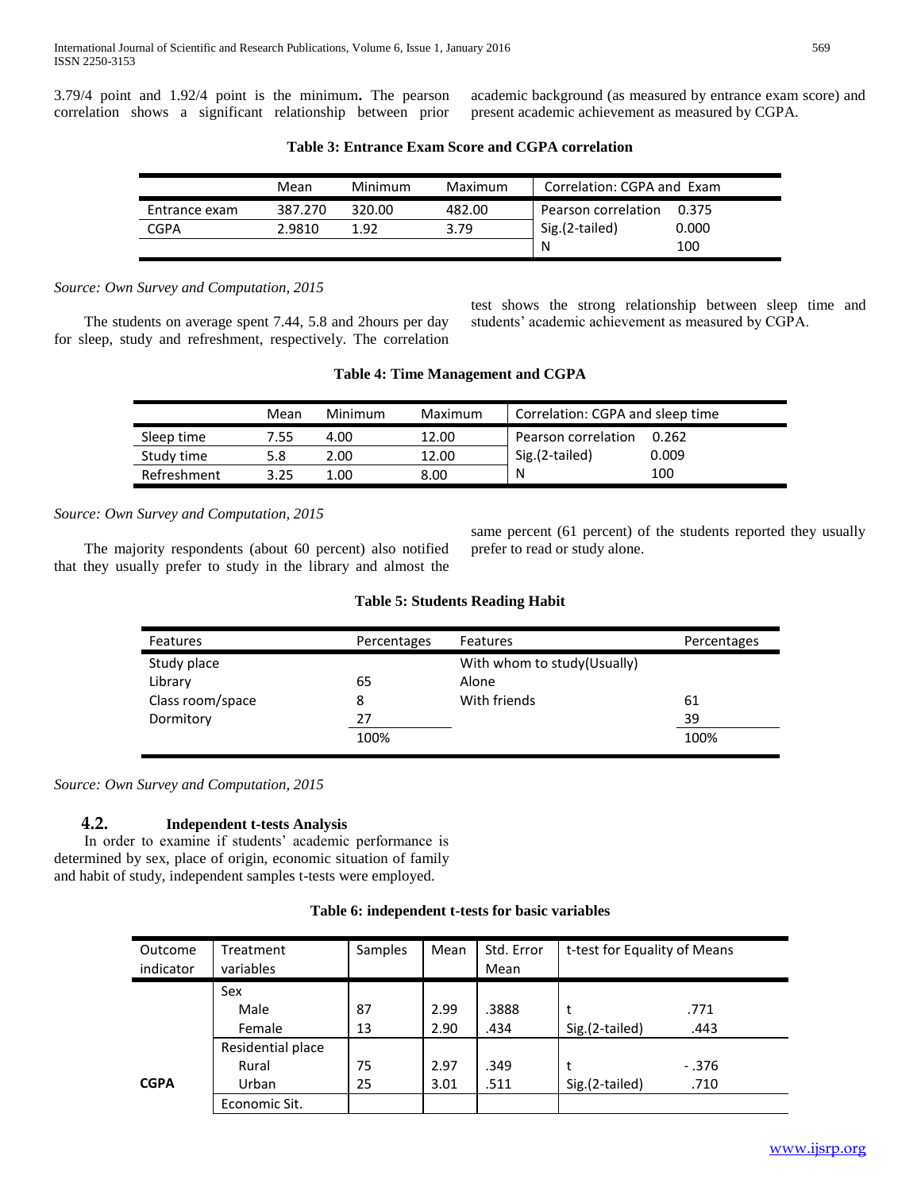3.79/4 point and 1.92/4 point is the minimum**.** The pearson correlation shows a significant relationship between prior academic background (as measured by entrance exam score) and present academic achievement as measured by CGPA.

|               | Mean    | Minimum | Maximum | Correlation: CGPA and Exam |       |
|---------------|---------|---------|---------|----------------------------|-------|
| Entrance exam | 387.270 | 320.00  | 482.00  | Pearson correlation        | 0.375 |
| CGPA          | 2.9810  | 1.92    | 3.79    | Sig.(2-tailed)             | 0.000 |
|               |         |         |         | N                          | 100   |

**Table 3: Entrance Exam Score and CGPA correlation**

*Source: Own Survey and Computation, 2015*

 The students on average spent 7.44, 5.8 and 2hours per day for sleep, study and refreshment, respectively. The correlation test shows the strong relationship between sleep time and students' academic achievement as measured by CGPA.

|             | Mean | Minimum | Maximum | Correlation: CGPA and sleep time |       |
|-------------|------|---------|---------|----------------------------------|-------|
| Sleep time  | 7.55 | 4.00    | 12.00   | Pearson correlation              | 0.262 |
| Study time  | 5.8  | 2.00    | 12.00   | Sig.(2-tailed)                   | 0.009 |
| Refreshment | 395  | 1.00    | 8.00    | N                                | 100   |

**Table 4: Time Management and CGPA**

*Source: Own Survey and Computation, 2015*

 The majority respondents (about 60 percent) also notified that they usually prefer to study in the library and almost the same percent (61 percent) of the students reported they usually prefer to read or study alone.

# **Table 5: Students Reading Habit**

| Features         | Percentages | <b>Features</b>              | Percentages |
|------------------|-------------|------------------------------|-------------|
| Study place      |             | With whom to study (Usually) |             |
| Library          | 65          | Alone                        |             |
| Class room/space | 8           | With friends                 | 61          |
| Dormitory        | 27          |                              | 39          |
|                  | 100%        |                              | 100%        |

*Source: Own Survey and Computation, 2015*

# **4.2. Independent t-tests Analysis**

 In order to examine if students' academic performance is determined by sex, place of origin, economic situation of family and habit of study, independent samples t-tests were employed.

| Outcome<br>indicator | Treatment<br>variables | Samples | Mean | Std. Error<br>Mean | t-test for Equality of Means |        |
|----------------------|------------------------|---------|------|--------------------|------------------------------|--------|
|                      | Sex                    |         |      |                    |                              |        |
|                      | Male                   | 87      | 2.99 | .3888              |                              | .771   |
|                      | Female                 | 13      | 2.90 | .434               | Sig.(2-tailed)               | .443   |
|                      | Residential place      |         |      |                    |                              |        |
|                      | Rural                  | 75      | 2.97 | .349               | t                            | - .376 |
| <b>CGPA</b>          | Urban                  | 25      | 3.01 | .511               | Sig.(2-tailed)               | .710   |
|                      | Economic Sit.          |         |      |                    |                              |        |

# **Table 6: independent t-tests for basic variables**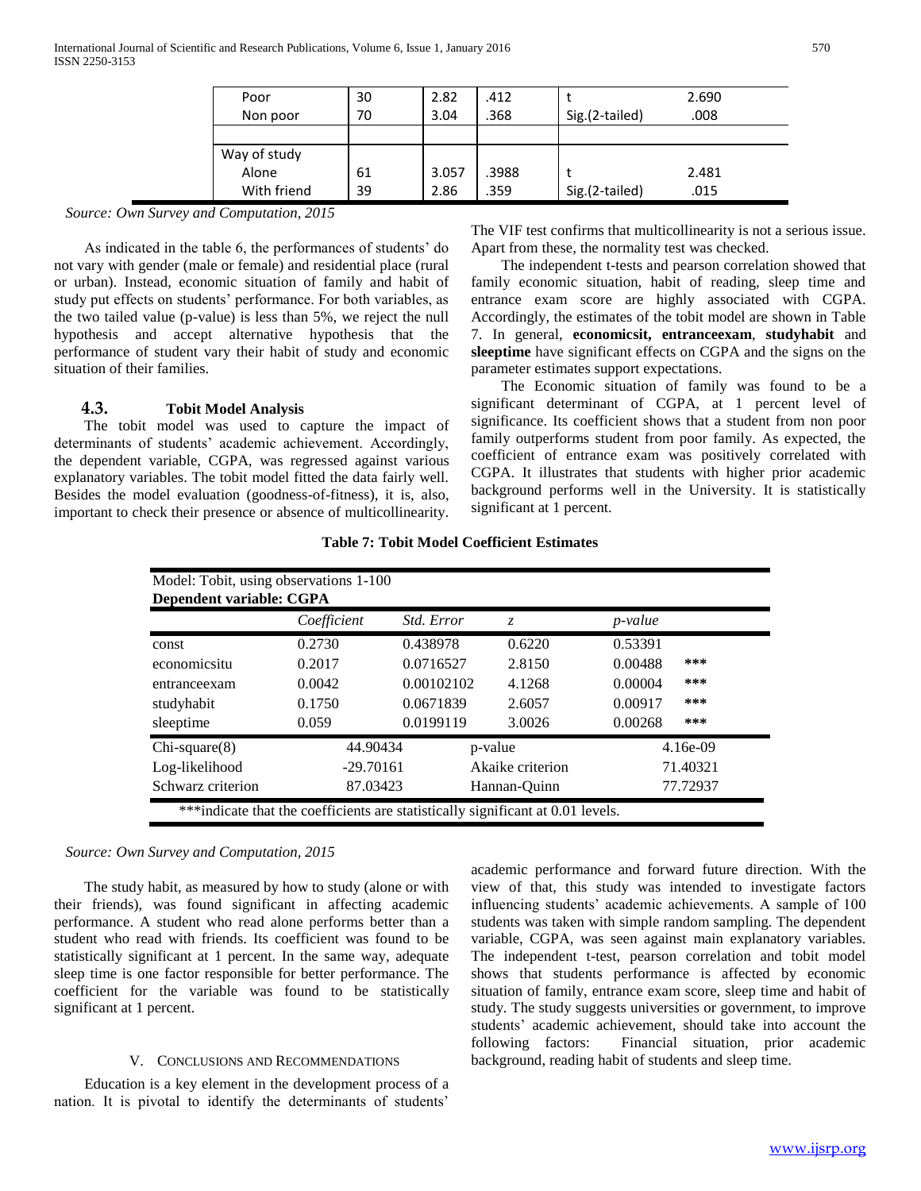| Poor         | 30 | 2.82  | .412  |                | 2.690 |
|--------------|----|-------|-------|----------------|-------|
| Non poor     | 70 | 3.04  | .368  | Sig.(2-tailed) | .008  |
|              |    |       |       |                |       |
| Way of study |    |       |       |                |       |
| Alone        | 61 | 3.057 | .3988 |                | 2.481 |
| With friend  | 39 | 2.86  | 359   | Sig.(2-tailed) | .015  |

*Source: Own Survey and Computation, 2015*

 As indicated in the table 6, the performances of students' do not vary with gender (male or female) and residential place (rural or urban). Instead, economic situation of family and habit of study put effects on students' performance. For both variables, as the two tailed value (p-value) is less than 5%, we reject the null hypothesis and accept alternative hypothesis that the performance of student vary their habit of study and economic situation of their families.

# **4.3. Tobit Model Analysis**

 The tobit model was used to capture the impact of determinants of students' academic achievement. Accordingly, the dependent variable, CGPA, was regressed against various explanatory variables. The tobit model fitted the data fairly well. Besides the model evaluation (goodness-of-fitness), it is, also, important to check their presence or absence of multicollinearity.

The VIF test confirms that multicollinearity is not a serious issue. Apart from these, the normality test was checked.

 The independent t-tests and pearson correlation showed that family economic situation, habit of reading, sleep time and entrance exam score are highly associated with CGPA. Accordingly, the estimates of the tobit model are shown in Table 7. In general, **economicsit, entranceexam**, **studyhabit** and **sleeptime** have significant effects on CGPA and the signs on the parameter estimates support expectations.

 The Economic situation of family was found to be a significant determinant of CGPA, at 1 percent level of significance. Its coefficient shows that a student from non poor family outperforms student from poor family. As expected, the coefficient of entrance exam was positively correlated with CGPA. It illustrates that students with higher prior academic background performs well in the University. It is statistically significant at 1 percent.

| Model: Tobit, using observations 1-100                                          |             |                  |         |                 |  |  |  |  |
|---------------------------------------------------------------------------------|-------------|------------------|---------|-----------------|--|--|--|--|
| Dependent variable: CGPA                                                        |             |                  |         |                 |  |  |  |  |
|                                                                                 | Coefficient | Std. Error       | Z.      | <i>p</i> -value |  |  |  |  |
| const                                                                           | 0.2730      | 0.438978         | 0.6220  | 0.53391         |  |  |  |  |
| economicsitu                                                                    | 0.2017      | 0.0716527        | 2.8150  | 0.00488<br>***  |  |  |  |  |
| entranceexam                                                                    | 0.0042      | 0.00102102       | 4.1268  | 0.00004<br>***  |  |  |  |  |
| studyhabit                                                                      | 0.1750      | 0.0671839        | 2.6057  | 0.00917<br>***  |  |  |  |  |
| sleeptime                                                                       | 0.059       | 0.0199119        | 3.0026  | 0.00268<br>***  |  |  |  |  |
| $Chi-square(8)$                                                                 | 44.90434    |                  | p-value | $4.16e-09$      |  |  |  |  |
| Log-likelihood                                                                  | $-29.70161$ | Akaike criterion |         | 71.40321        |  |  |  |  |
| Schwarz criterion<br>87.03423<br>77.72937<br>Hannan-Quinn                       |             |                  |         |                 |  |  |  |  |
| ***indicate that the coefficients are statistically significant at 0.01 levels. |             |                  |         |                 |  |  |  |  |

**Table 7: Tobit Model Coefficient Estimates**

## *Source: Own Survey and Computation, 2015*

 The study habit, as measured by how to study (alone or with their friends), was found significant in affecting academic performance. A student who read alone performs better than a student who read with friends. Its coefficient was found to be statistically significant at 1 percent. In the same way, adequate sleep time is one factor responsible for better performance. The coefficient for the variable was found to be statistically significant at 1 percent.

## V. CONCLUSIONS AND RECOMMENDATIONS

 Education is a key element in the development process of a nation. It is pivotal to identify the determinants of students'

academic performance and forward future direction. With the view of that, this study was intended to investigate factors influencing students' academic achievements. A sample of 100 students was taken with simple random sampling. The dependent variable, CGPA, was seen against main explanatory variables. The independent t-test, pearson correlation and tobit model shows that students performance is affected by economic situation of family, entrance exam score, sleep time and habit of study. The study suggests universities or government, to improve students' academic achievement, should take into account the following factors: Financial situation, prior academic background, reading habit of students and sleep time.